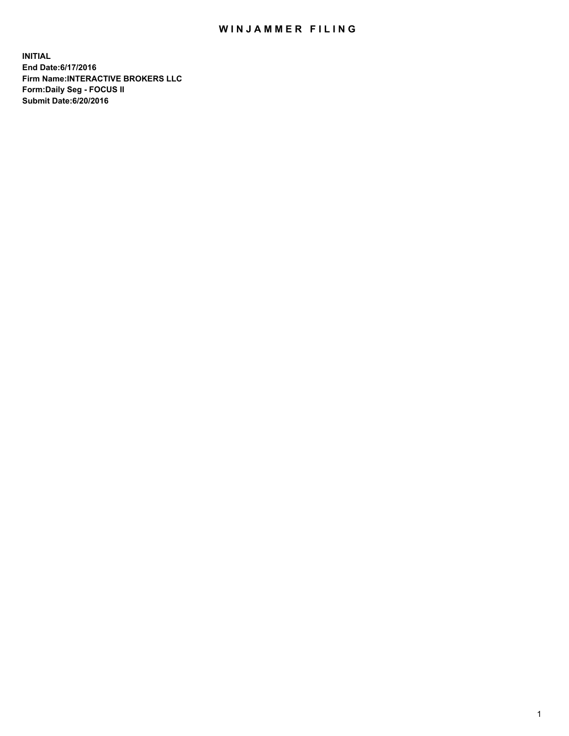## WIN JAMMER FILING

**INITIAL End Date:6/17/2016 Firm Name:INTERACTIVE BROKERS LLC Form:Daily Seg - FOCUS II Submit Date:6/20/2016**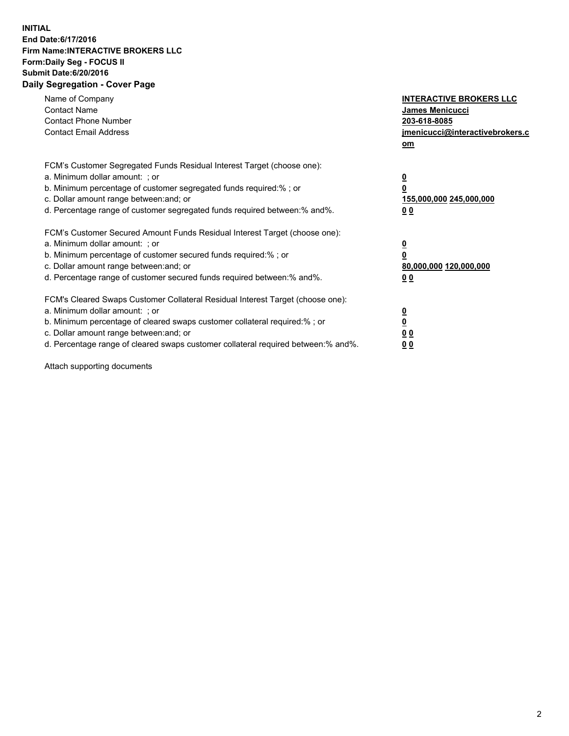## **INITIAL End Date:6/17/2016 Firm Name:INTERACTIVE BROKERS LLC Form:Daily Seg - FOCUS II Submit Date:6/20/2016 Daily Segregation - Cover Page**

| Name of Company<br><b>Contact Name</b><br><b>Contact Phone Number</b><br><b>Contact Email Address</b>                                                                                                                                                                                                                          | <b>INTERACTIVE BROKERS LLC</b><br>James Menicucci<br>203-618-8085<br>jmenicucci@interactivebrokers.c<br>om |
|--------------------------------------------------------------------------------------------------------------------------------------------------------------------------------------------------------------------------------------------------------------------------------------------------------------------------------|------------------------------------------------------------------------------------------------------------|
| FCM's Customer Segregated Funds Residual Interest Target (choose one):<br>a. Minimum dollar amount: ; or<br>b. Minimum percentage of customer segregated funds required:%; or<br>c. Dollar amount range between: and; or<br>d. Percentage range of customer segregated funds required between:% and%.                          | $\overline{\mathbf{0}}$<br>0<br>155,000,000 245,000,000<br>0 <sub>0</sub>                                  |
| FCM's Customer Secured Amount Funds Residual Interest Target (choose one):<br>a. Minimum dollar amount: ; or<br>b. Minimum percentage of customer secured funds required:%; or<br>c. Dollar amount range between: and; or<br>d. Percentage range of customer secured funds required between:% and%.                            | $\overline{\mathbf{0}}$<br>$\overline{\mathbf{0}}$<br>80,000,000 120,000,000<br>00                         |
| FCM's Cleared Swaps Customer Collateral Residual Interest Target (choose one):<br>a. Minimum dollar amount: ; or<br>b. Minimum percentage of cleared swaps customer collateral required:% ; or<br>c. Dollar amount range between: and; or<br>d. Percentage range of cleared swaps customer collateral required between:% and%. | $\overline{\mathbf{0}}$<br>$\overline{\mathbf{0}}$<br>0 <sub>0</sub><br><u>00</u>                          |

Attach supporting documents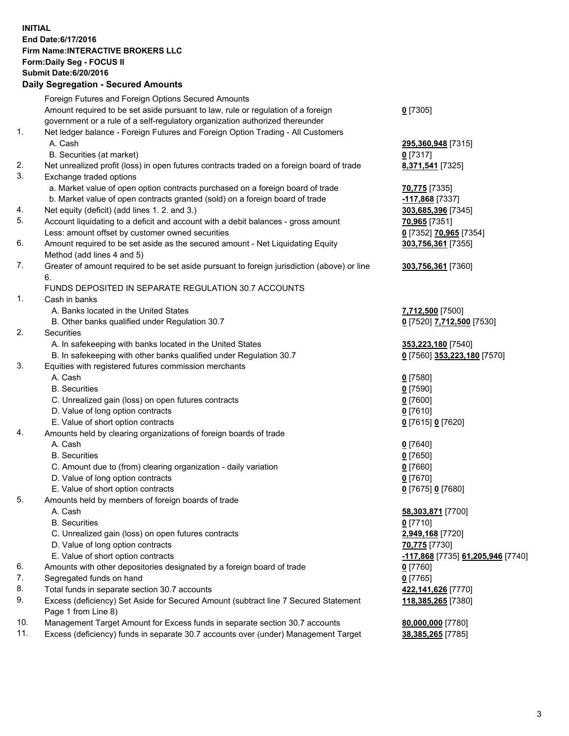## **INITIAL End Date:6/17/2016 Firm Name:INTERACTIVE BROKERS LLC Form:Daily Seg - FOCUS II Submit Date:6/20/2016 Daily Segregation - Secured Amounts**

|     | Dany Ocgregation - Oceanea Amounts                                                          |                                   |
|-----|---------------------------------------------------------------------------------------------|-----------------------------------|
|     | Foreign Futures and Foreign Options Secured Amounts                                         |                                   |
|     | Amount required to be set aside pursuant to law, rule or regulation of a foreign            | $0$ [7305]                        |
|     | government or a rule of a self-regulatory organization authorized thereunder                |                                   |
| 1.  | Net ledger balance - Foreign Futures and Foreign Option Trading - All Customers             |                                   |
|     | A. Cash                                                                                     | 295,360,948 [7315]                |
|     | B. Securities (at market)                                                                   | $0$ [7317]                        |
| 2.  | Net unrealized profit (loss) in open futures contracts traded on a foreign board of trade   | 8,371,541 [7325]                  |
| 3.  | Exchange traded options                                                                     |                                   |
|     |                                                                                             |                                   |
|     | a. Market value of open option contracts purchased on a foreign board of trade              | 70,775 [7335]                     |
|     | b. Market value of open contracts granted (sold) on a foreign board of trade                | -117,868 [7337]                   |
| 4.  | Net equity (deficit) (add lines 1.2. and 3.)                                                | 303,685,396 [7345]                |
| 5.  | Account liquidating to a deficit and account with a debit balances - gross amount           | 70,965 [7351]                     |
|     | Less: amount offset by customer owned securities                                            | 0 [7352] 70,965 [7354]            |
| 6.  | Amount required to be set aside as the secured amount - Net Liquidating Equity              | 303,756,361 [7355]                |
|     | Method (add lines 4 and 5)                                                                  |                                   |
| 7.  | Greater of amount required to be set aside pursuant to foreign jurisdiction (above) or line | 303,756,361 [7360]                |
|     | 6.                                                                                          |                                   |
|     | FUNDS DEPOSITED IN SEPARATE REGULATION 30.7 ACCOUNTS                                        |                                   |
| 1.  | Cash in banks                                                                               |                                   |
|     | A. Banks located in the United States                                                       | 7,712,500 [7500]                  |
|     | B. Other banks qualified under Regulation 30.7                                              | 0 [7520] 7,712,500 [7530]         |
| 2.  | <b>Securities</b>                                                                           |                                   |
|     | A. In safekeeping with banks located in the United States                                   | 353,223,180 [7540]                |
|     | B. In safekeeping with other banks qualified under Regulation 30.7                          | 0 [7560] 353,223,180 [7570]       |
| 3.  | Equities with registered futures commission merchants                                       |                                   |
|     | A. Cash                                                                                     | $0$ [7580]                        |
|     | <b>B.</b> Securities                                                                        | $0$ [7590]                        |
|     |                                                                                             |                                   |
|     | C. Unrealized gain (loss) on open futures contracts                                         | $0$ [7600]                        |
|     | D. Value of long option contracts                                                           | $0$ [7610]                        |
|     | E. Value of short option contracts                                                          | 0 [7615] 0 [7620]                 |
| 4.  | Amounts held by clearing organizations of foreign boards of trade                           |                                   |
|     | A. Cash                                                                                     | $0$ [7640]                        |
|     | <b>B.</b> Securities                                                                        | $0$ [7650]                        |
|     | C. Amount due to (from) clearing organization - daily variation                             | $0$ [7660]                        |
|     | D. Value of long option contracts                                                           | $0$ [7670]                        |
|     | E. Value of short option contracts                                                          | 0 [7675] 0 [7680]                 |
| 5.  | Amounts held by members of foreign boards of trade                                          |                                   |
|     | A. Cash                                                                                     | 58,303,871 [7700]                 |
|     | <b>B.</b> Securities                                                                        | $0$ [7710]                        |
|     | C. Unrealized gain (loss) on open futures contracts                                         | 2,949,168 [7720]                  |
|     | D. Value of long option contracts                                                           | 70,775 [7730]                     |
|     | E. Value of short option contracts                                                          | -117,868 [7735] 61,205,946 [7740] |
| 6.  | Amounts with other depositories designated by a foreign board of trade                      | $0$ [7760]                        |
| 7.  | Segregated funds on hand                                                                    | $0$ [7765]                        |
| 8.  | Total funds in separate section 30.7 accounts                                               | 422,141,626 [7770]                |
| 9.  | Excess (deficiency) Set Aside for Secured Amount (subtract line 7 Secured Statement         | 118,385,265 [7380]                |
|     | Page 1 from Line 8)                                                                         |                                   |
| 10. | Management Target Amount for Excess funds in separate section 30.7 accounts                 | 80,000,000 [7780]                 |
| 11. | Excess (deficiency) funds in separate 30.7 accounts over (under) Management Target          |                                   |
|     |                                                                                             | 38,385,265 [7785]                 |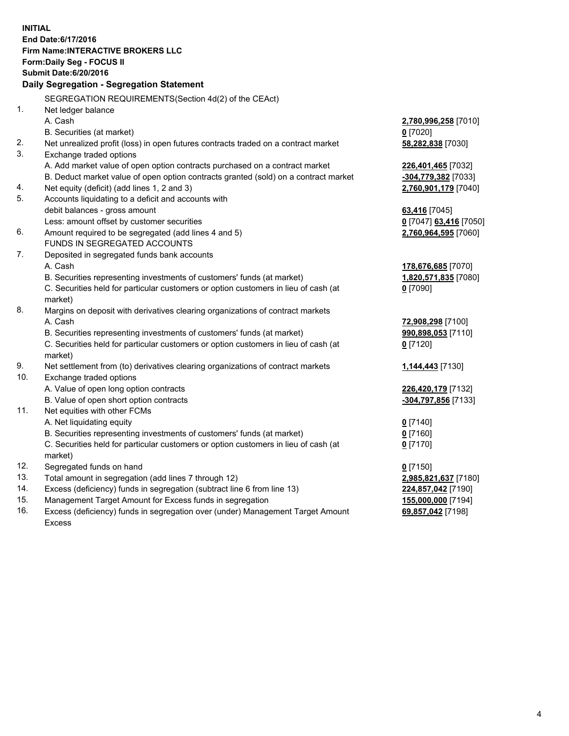**INITIAL End Date:6/17/2016 Firm Name:INTERACTIVE BROKERS LLC Form:Daily Seg - FOCUS II Submit Date:6/20/2016 Daily Segregation - Segregation Statement** SEGREGATION REQUIREMENTS(Section 4d(2) of the CEAct) 1. Net ledger balance A. Cash **2,780,996,258** [7010] B. Securities (at market) **0** [7020] 2. Net unrealized profit (loss) in open futures contracts traded on a contract market **58,282,838** [7030] 3. Exchange traded options A. Add market value of open option contracts purchased on a contract market **226,401,465** [7032] B. Deduct market value of open option contracts granted (sold) on a contract market **-304,779,382** [7033] 4. Net equity (deficit) (add lines 1, 2 and 3) **2,760,901,179** [7040] 5. Accounts liquidating to a deficit and accounts with debit balances - gross amount **63,416** [7045] Less: amount offset by customer securities **0** [7047] **63,416** [7050] 6. Amount required to be segregated (add lines 4 and 5) **2,760,964,595** [7060] FUNDS IN SEGREGATED ACCOUNTS 7. Deposited in segregated funds bank accounts A. Cash **178,676,685** [7070] B. Securities representing investments of customers' funds (at market) **1,820,571,835** [7080] C. Securities held for particular customers or option customers in lieu of cash (at market) **0** [7090] 8. Margins on deposit with derivatives clearing organizations of contract markets A. Cash **72,908,298** [7100] B. Securities representing investments of customers' funds (at market) **990,898,053** [7110] C. Securities held for particular customers or option customers in lieu of cash (at market) **0** [7120] 9. Net settlement from (to) derivatives clearing organizations of contract markets **1,144,443** [7130] 10. Exchange traded options A. Value of open long option contracts **226,420,179** [7132] B. Value of open short option contracts **-304,797,856** [7133] 11. Net equities with other FCMs A. Net liquidating equity **0** [7140] B. Securities representing investments of customers' funds (at market) **0** [7160] C. Securities held for particular customers or option customers in lieu of cash (at market) **0** [7170] 12. Segregated funds on hand **0** [7150] 13. Total amount in segregation (add lines 7 through 12) **2,985,821,637** [7180] 14. Excess (deficiency) funds in segregation (subtract line 6 from line 13) **224,857,042** [7190] 15. Management Target Amount for Excess funds in segregation **155,000,000** [7194]

16. Excess (deficiency) funds in segregation over (under) Management Target Amount Excess

**69,857,042** [7198]